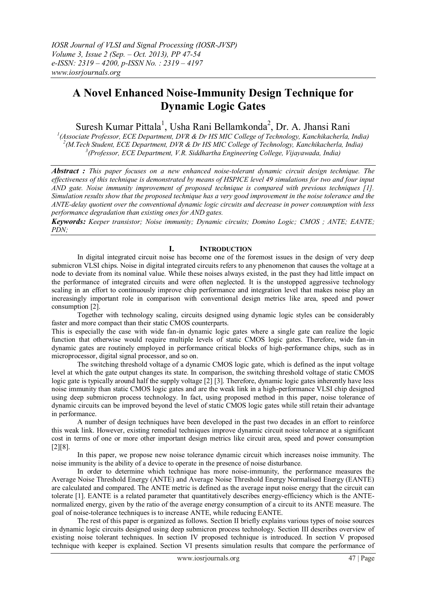# **A Novel Enhanced Noise-Immunity Design Technique for Dynamic Logic Gates**

Suresh Kumar Pittala<sup>1</sup>, Usha Rani Bellamkonda<sup>2</sup>, Dr. A. Jhansi Rani

*1 (Associate Professor, ECE Department, DVR & Dr HS MIC College of Technology, Kanchikacherla, India) 2 (M.Tech Student, ECE Department, DVR & Dr HS MIC College of Technology, Kanchikacherla, India) 3 (Professor, ECE Department, V.R. Siddhartha Engineering College, Vijayawada, India)*

*Abstract : This paper focuses on a new enhanced noise-tolerant dynamic circuit design technique. The effectiveness of this technique is demonstrated by means of HSPICE level 49 simulations for two and four input AND gate. Noise immunity improvement of proposed technique is compared with previous techniques [1]. Simulation results show that the proposed technique has a very good improvement in the noise tolerance and the ANTE-delay quotient over the conventional dynamic logic circuits and decrease in power consumption with less performance degradation than existing ones for AND gates.*

*Keywords: Keeper transistor; Noise immunity; Dynamic circuits; Domino Logic; CMOS ; ANTE; EANTE; PDN;* 

## **I. INTRODUCTION**

In digital integrated circuit noise has become one of the foremost issues in the design of very deep submicron VLSI chips. Noise in digital integrated circuits refers to any phenomenon that causes the voltage at a node to deviate from its nominal value. While these noises always existed, in the past they had little impact on the performance of integrated circuits and were often neglected. It is the unstopped aggressive technology scaling in an effort to continuously improve chip performance and integration level that makes noise play an increasingly important role in comparison with conventional design metrics like area, speed and power consumption [2].

Together with technology scaling, circuits designed using dynamic logic styles can be considerably faster and more compact than their static CMOS counterparts.

This is especially the case with wide fan-in dynamic logic gates where a single gate can realize the logic function that otherwise would require multiple levels of static CMOS logic gates. Therefore, wide fan-in dynamic gates are routinely employed in performance critical blocks of high-performance chips, such as in microprocessor, digital signal processor, and so on.

The switching threshold voltage of a dynamic CMOS logic gate, which is defined as the input voltage level at which the gate output changes its state. In comparison, the switching threshold voltage of static CMOS logic gate is typically around half the supply voltage [2] [3]. Therefore, dynamic logic gates inherently have less noise immunity than static CMOS logic gates and are the weak link in a high-performance VLSI chip designed using deep submicron process technology. In fact, using proposed method in this paper, noise tolerance of dynamic circuits can be improved beyond the level of static CMOS logic gates while still retain their advantage in performance.

A number of design techniques have been developed in the past two decades in an effort to reinforce this weak link. However, existing remedial techniques improve dynamic circuit noise tolerance at a significant cost in terms of one or more other important design metrics like circuit area, speed and power consumption [2][8].

In this paper, we propose new noise tolerance dynamic circuit which increases noise immunity. The noise immunity is the ability of a device to operate in the presence of noise disturbance.

In order to determine which technique has more noise-immunity, the performance measures the Average Noise Threshold Energy (ANTE) and Average Noise Threshold Energy Normalised Energy (EANTE) are calculated and compared. The ANTE metric is defined as the average input noise energy that the circuit can tolerate [1]. EANTE is a related parameter that quantitatively describes energy-efficiency which is the ANTEnormalized energy, given by the ratio of the average energy consumption of a circuit to its ANTE measure. The goal of noise-tolerance techniques is to increase ANTE, while reducing EANTE.

The rest of this paper is organized as follows. Section II briefly explains various types of noise sources in dynamic logic circuits designed using deep submicron process technology. Section III describes overview of existing noise tolerant techniques. In section IV proposed technique is introduced. In section V proposed technique with keeper is explained. Section VI presents simulation results that compare the performance of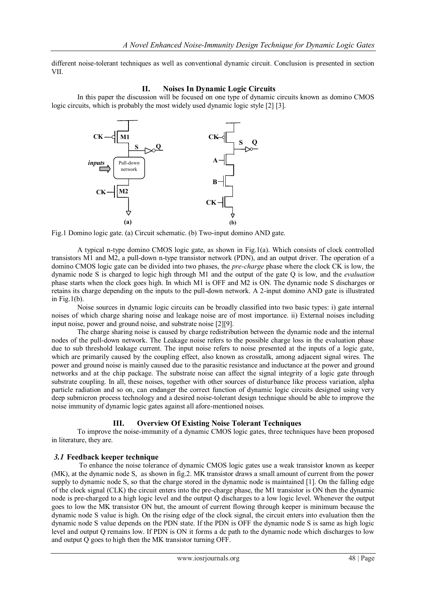different noise-tolerant techniques as well as conventional dynamic circuit. Conclusion is presented in section VII.

#### **II. Noises In Dynamic Logic Circuits**

In this paper the discussion will be focused on one type of dynamic circuits known as domino CMOS logic circuits, which is probably the most widely used dynamic logic style [2] [3].



Fig.1 Domino logic gate. (a) Circuit schematic. (b) Two-input domino AND gate.

A typical n-type domino CMOS logic gate, as shown in Fig.1(a). Which consists of clock controlled transistors M1 and M2, a pull-down n-type transistor network (PDN), and an output driver. The operation of a domino CMOS logic gate can be divided into two phases, the *pre-charge* phase where the clock CK is low, the dynamic node S is charged to logic high through M1 and the output of the gate Q is low, and the *evaluation*  phase starts when the clock goes high. In which M1 is OFF and M2 is ON. The dynamic node S discharges or retains its charge depending on the inputs to the pull-down network. A 2-input domino AND gate is illustrated in Fig.1(b).

Noise sources in dynamic logic circuits can be broadly classified into two basic types: i) gate internal noises of which charge sharing noise and leakage noise are of most importance. ii) External noises including input noise, power and ground noise, and substrate noise [2][9].

The charge sharing noise is caused by charge redistribution between the dynamic node and the internal nodes of the pull-down network. The Leakage noise refers to the possible charge loss in the evaluation phase due to sub threshold leakage current. The input noise refers to noise presented at the inputs of a logic gate, which are primarily caused by the coupling effect, also known as crosstalk, among adjacent signal wires. The power and ground noise is mainly caused due to the parasitic resistance and inductance at the power and ground networks and at the chip package. The substrate noise can affect the signal integrity of a logic gate through substrate coupling. In all, these noises, together with other sources of disturbance like process variation, alpha particle radiation and so on, can endanger the correct function of dynamic logic circuits designed using very deep submicron process technology and a desired noise-tolerant design technique should be able to improve the noise immunity of dynamic logic gates against all afore-mentioned noises.

## **III. Overview Of Existing Noise Tolerant Techniques**

To improve the noise-immunity of a dynamic CMOS logic gates, three techniques have been proposed in literature, they are.

## *3.1* **Feedback keeper technique**

To enhance the noise tolerance of dynamic CMOS logic gates use a weak transistor known as keeper (MK), at the dynamic node S, as shown in fig.2. MK transistor draws a small amount of current from the power supply to dynamic node S, so that the charge stored in the dynamic node is maintained [1]. On the falling edge of the clock signal (CLK) the circuit enters into the pre-charge phase, the M1 transistor is ON then the dynamic node is pre-charged to a high logic level and the output Q discharges to a low logic level. Whenever the output goes to low the MK transistor ON but, the amount of current flowing through keeper is minimum because the dynamic node S value is high. On the rising edge of the clock signal, the circuit enters into evaluation then the dynamic node S value depends on the PDN state. If the PDN is OFF the dynamic node S is same as high logic level and output Q remains low. If PDN is ON it forms a dc path to the dynamic node which discharges to low and output Q goes to high then the MK transistor turning OFF.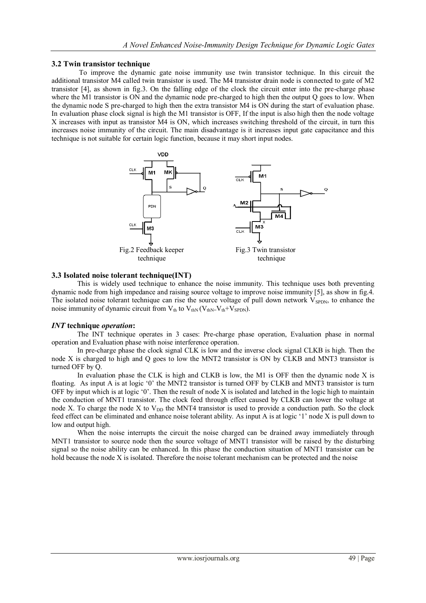## **3.2 Twin transistor technique**

 To improve the dynamic gate noise immunity use twin transistor technique. In this circuit the additional transistor M4 called twin transistor is used. The M4 transistor drain node is connected to gate of M2 transistor [4], as shown in fig.3. On the falling edge of the clock the circuit enter into the pre-charge phase where the M1 transistor is ON and the dynamic node pre-charged to high then the output Q goes to low. When the dynamic node S pre-charged to high then the extra transistor M4 is ON during the start of evaluation phase. In evaluation phase clock signal is high the M1 transistor is OFF, If the input is also high then the node voltage X increases with input as transistor M4 is ON, which increases switching threshold of the circuit, in turn this increases noise immunity of the circuit. The main disadvantage is it increases input gate capacitance and this technique is not suitable for certain logic function, because it may short input nodes.



## **3.3 Isolated noise tolerant technique(INT)**

This is widely used technique to enhance the noise immunity. This technique uses both preventing dynamic node from high impedance and raising source voltage to improve noise immunity [5], as show in fig.4. The isolated noise tolerant technique can rise the source voltage of pull down network  $V_{SPDN}$ , to enhance the noise immunity of dynamic circuit from  $V_{th}$  to  $V_{thN}$  ( $V_{thN}=V_{th}+V_{SPDN}$ ).

## *INT* **technique** *operation***:**

The INT technique operates in 3 cases: Pre-charge phase operation, Evaluation phase in normal operation and Evaluation phase with noise interference operation.

In pre-charge phase the clock signal CLK is low and the inverse clock signal CLKB is high. Then the node X is charged to high and Q goes to low the MNT2 transistor is ON by CLKB and MNT3 transistor is turned OFF by Q.

In evaluation phase the CLK is high and CLKB is low, the M1 is OFF then the dynamic node X is floating. As input A is at logic '0' the MNT2 transistor is turned OFF by CLKB and MNT3 transistor is turn OFF by input which is at logic '0'. Then the result of node X is isolated and latched in the logic high to maintain the conduction of MNT1 transistor. The clock feed through effect caused by CLKB can lower the voltage at node X. To charge the node X to  $V_{DD}$  the MNT4 transistor is used to provide a conduction path. So the clock feed effect can be eliminated and enhance noise tolerant ability. As input A is at logic "1" node X is pull down to low and output high.

When the noise interrupts the circuit the noise charged can be drained away immediately through MNT1 transistor to source node then the source voltage of MNT1 transistor will be raised by the disturbing signal so the noise ability can be enhanced. In this phase the conduction situation of MNT1 transistor can be hold because the node X is isolated. Therefore the noise tolerant mechanism can be protected and the noise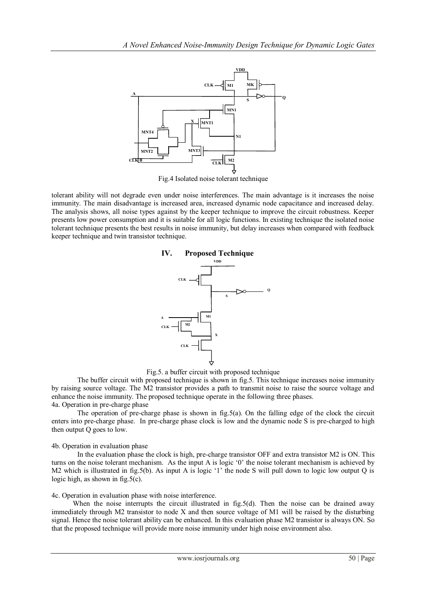

Fig.4 Isolated noise tolerant technique

tolerant ability will not degrade even under noise interferences. The main advantage is it increases the noise immunity. The main disadvantage is increased area, increased dynamic node capacitance and increased delay. The analysis shows, all noise types against by the keeper technique to improve the circuit robustness. Keeper presents low power consumption and it is suitable for all logic functions. In existing technique the isolated noise tolerant technique presents the best results in noise immunity, but delay increases when compared with feedback keeper technique and twin transistor technique.



Fig.5. a buffer circuit with proposed technique

The buffer circuit with proposed technique is shown in fig.5. This technique increases noise immunity by raising source voltage. The M2 transistor provides a path to transmit noise to raise the source voltage and enhance the noise immunity. The proposed technique operate in the following three phases. 4a. Operation in pre-charge phase

The operation of pre-charge phase is shown in fig.5(a). On the falling edge of the clock the circuit enters into pre-charge phase. In pre-charge phase clock is low and the dynamic node S is pre-charged to high then output Q goes to low.

#### 4b. Operation in evaluation phase

In the evaluation phase the clock is high, pre-charge transistor OFF and extra transistor M2 is ON. This turns on the noise tolerant mechanism. As the input A is logic "0" the noise tolerant mechanism is achieved by M2 which is illustrated in fig.5(b). As input A is logic '1' the node S will pull down to logic low output Q is logic high, as shown in fig.5(c).

#### 4c. Operation in evaluation phase with noise interference.

When the noise interrupts the circuit illustrated in fig.5(d). Then the noise can be drained away immediately through M2 transistor to node X and then source voltage of M1 will be raised by the disturbing signal. Hence the noise tolerant ability can be enhanced. In this evaluation phase M2 transistor is always ON. So that the proposed technique will provide more noise immunity under high noise environment also.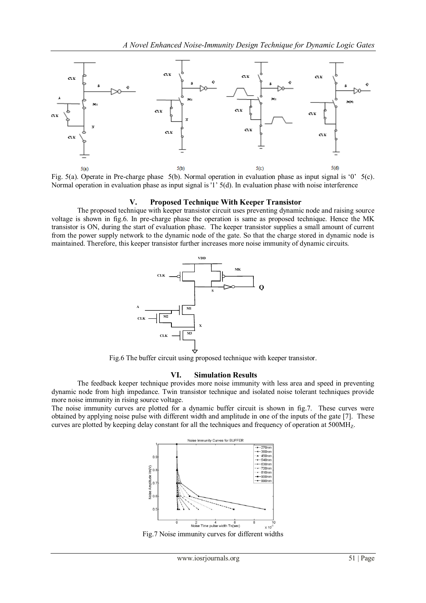

Fig. 5(a). Operate in Pre-charge phase 5(b). Normal operation in evaluation phase as input signal is '0' 5(c). Normal operation in evaluation phase as input signal is '1" 5(d). In evaluation phase with noise interference

#### **V. Proposed Technique With Keeper Transistor**

The proposed technique with keeper transistor circuit uses preventing dynamic node and raising source voltage is shown in fig.6. In pre-charge phase the operation is same as proposed technique. Hence the MK transistor is ON, during the start of evaluation phase. The keeper transistor supplies a small amount of current from the power supply network to the dynamic node of the gate. So that the charge stored in dynamic node is maintained. Therefore, this keeper transistor further increases more noise immunity of dynamic circuits.



Fig.6 The buffer circuit using proposed technique with keeper transistor.

#### **VI. Simulation Results**

The feedback keeper technique provides more noise immunity with less area and speed in preventing dynamic node from high impedance. Twin transistor technique and isolated noise tolerant techniques provide more noise immunity in rising source voltage.

The noise immunity curves are plotted for a dynamic buffer circuit is shown in fig.7. These curves were obtained by applying noise pulse with different width and amplitude in one of the inputs of the gate [7]. These curves are plotted by keeping delay constant for all the techniques and frequency of operation at 500MH<sub>z</sub>.



Fig.7 Noise immunity curves for different widths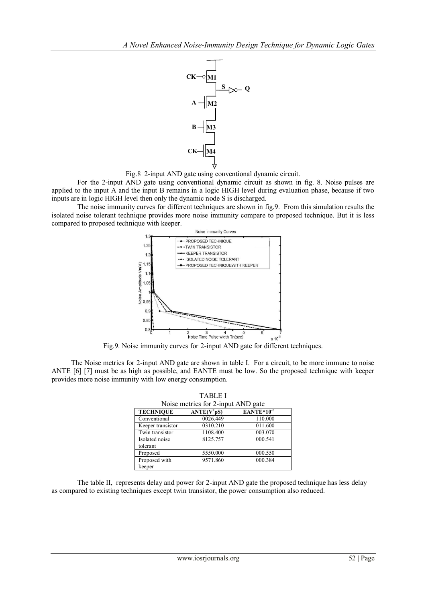

Fig.8 2-input AND gate using conventional dynamic circuit.

For the 2-input AND gate using conventional dynamic circuit as shown in fig. 8. Noise pulses are applied to the input A and the input B remains in a logic HIGH level during evaluation phase, because if two inputs are in logic HIGH level then only the dynamic node S is discharged.

The noise immunity curves for different techniques are shown in fig.9. From this simulation results the isolated noise tolerant technique provides more noise immunity compare to proposed technique. But it is less compared to proposed technique with keeper.



Fig.9. Noise immunity curves for 2-input AND gate for different techniques.

 The Noise metrics for 2-input AND gate are shown in table I. For a circuit, to be more immune to noise ANTE [6] [7] must be as high as possible, and EANTE must be low. So the proposed technique with keeper provides more noise immunity with low energy consumption.

TABLE I

| Noise metrics for 2-input AND gate |                          |                 |  |  |
|------------------------------------|--------------------------|-----------------|--|--|
| <b>TECHNIQUE</b>                   | $ANTE(\overline{V^2pS})$ | $EANTE*10^{-5}$ |  |  |
| Conventional                       | 0026.449                 | 110.000         |  |  |
| Keeper transistor                  | 0310.210                 | 011.600         |  |  |
| Twin transistor                    | 1108.400                 | 003.070         |  |  |
| Isolated noise                     | 8125.757                 | 000.541         |  |  |
| tolerant                           |                          |                 |  |  |
| Proposed                           | 5550.000                 | 000.550         |  |  |
| Proposed with                      | 9571.860                 | 000.384         |  |  |
| keeper                             |                          |                 |  |  |

The table II, represents delay and power for 2-input AND gate the proposed technique has less delay as compared to existing techniques except twin transistor, the power consumption also reduced.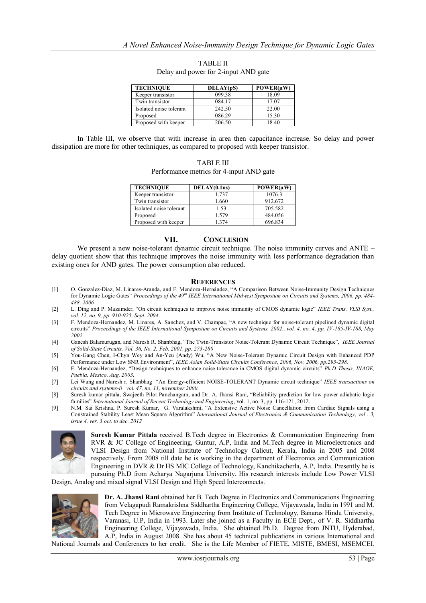| <b>TECHNIQUE</b>        | DELAY(pS) | POWER(uW) |
|-------------------------|-----------|-----------|
| Keeper transistor       | 099.38    | 18.09     |
| Twin transistor         | 084.17    | 17.07     |
| Isolated noise tolerant | 242.50    | 22.00     |
| Proposed                | 086.29    | 15.30     |
| Proposed with keeper    | 206.50    | 18.40     |

TABLE II Delay and power for 2-input AND gate

In Table III, we observe that with increase in area then capacitance increase. So delay and power dissipation are more for other techniques, as compared to proposed with keeper transistor.

| <b>TABLE III</b>                         |
|------------------------------------------|
| Performance metrics for 4-input AND gate |

| <b>TECHNIQUE</b>        | DELAY(0.1ns) | POWER(uW) |
|-------------------------|--------------|-----------|
| Keeper transistor       | 1737         | 1076.3    |
| Twin transistor         | 1.660        | 912.672   |
| Isolated noise tolerant | 1.53         | 705.582   |
| Proposed                | 1.579        | 484.056   |
| Proposed with keeper    | 1 374        | 696.834   |

#### **VII. CONCLUSION**

We present a new noise-tolerant dynamic circuit technique. The noise immunity curves and ANTE – delay quotient show that this technique improves the noise immunity with less performance degradation than existing ones for AND gates. The power consumption also reduced.

#### **REFERENCES**

- [1] O. Gonzalez-Diaz, M. Linares-Aranda, and F. Mendoza-Hernández, "A Comparison Between Noise-Immunity Design Techniques for Dynamic Logic Gates" *Proceedings of the 49th IEEE International Midwest Symposium on Circuits and Systems, 2006, pp. 484- 488, 2006*
- [2] L. Ding and P. Mazumder, "On circuit techniques to improve noise immunity of CMOS dynamic logic" *IEEE Trans. VLSI Syst., vol. 12, no. 9, pp. 910-925, Sept. 2004*.
- [3] F. Mendoza-Hernandez, M. Linares, A. Sanchez, and V. Champac, "A new technique for noise-tolerant pipelined dynamic digital circuits" *Proceedings of the IEEE International Symposium on Circuits and Systems, 2002., vol. 4, no. 4, pp. IV-185-IV-188, May 2002.*
- [4] Ganesh Balamurugan, and Naresh R. Shanbhag, "The Twin-Transistor Noise-Tolerant Dynamic Circuit Technique", *IEEE Journal of Solid-State Circuits, Vol. 36, No. 2, Feb. 2001, pp. 273-280*
- [5] You-Gang Chen, I-Chyn Wey and An-Yeu (Andy) Wu, "A New Noise-Tolerant Dynamic Circuit Design with Enhanced PDP Performance under Low SNR Environment", *IEEE Asian Solid-State Circuits Conference*, *2006, Nov. 2006, pp.295-298.*
- [6] F. Mendoza-Hernandez, "Design techniques to enhance noise tolerance in CMOS digital dynamic circuits" *Ph.D Thesis, INAOE, Puebla, Mexico, Aug. 2003.*
- [7] Lei Wang and Naresh r. Shanbhag "An Energy-efficient NOISE-TOLERANT Dynamic circuit technique" *IEEE transactions on circuits and systems-ii vol. 47, no. 11, november 2000.*
- [8] Suresh kumar pittala, Swajeeth Pilot Panchangam, and Dr. A. Jhansi Rani, "Reliability prediction for low power adiabatic logic families" *International Journal of Recent Technology and Engineering*, vol. 1, no. 3, pp. 116-121, 2012.
- [9] N.M. Sai Krishna, P. Suresh Kumar, G. Varalakshmi, "A Extensive Active Noise Cancellation from Cardiac Signals using a Constrained Stability Least Mean Square Algorithm" *International Journal of Electronics & Communication Technology, vol . 3, issue 4, ver. 3 oct. to dec. 2012*



**Suresh Kumar Pittala** received B.Tech degree in Electronics & Communication Engineering from RVR & JC College of Engineering, Guntur, A.P, India and M.Tech degree in Microelectronics and VLSI Design from National Institute of Technology Calicut, Kerala, India in 2005 and 2008 respectively. From 2008 till date he is working in the department of Electronics and Communication Engineering in DVR & Dr HS MIC College of Technology, Kanchikacherla, A.P, India. Presently he is pursuing Ph.D from Acharya Nagarjuna University. His research interests include Low Power VLSI

Design, Analog and mixed signal VLSI Design and High Speed Interconnects.



**Dr. A. Jhansi Rani** obtained her B. Tech Degree in Electronics and Communications Engineering from Velagapudi Ramakrishna Siddhartha Engineering College, Vijayawada, India in 1991 and M. Tech Degree in Microwave Engineering from Institute of Technology, Banaras Hindu University, Varanasi, U.P, India in 1993. Later she joined as a Faculty in ECE Dept., of V. R. Siddhartha Engineering College, Vijayawada, India. She obtained Ph.D. Degree from JNTU, Hyderabad, A.P, India in August 2008. She has about 45 technical publications in various International and National Journals and Conferences to her credit. She is the Life Member of FIETE, MISTE, BMESI, MSEMCEI.